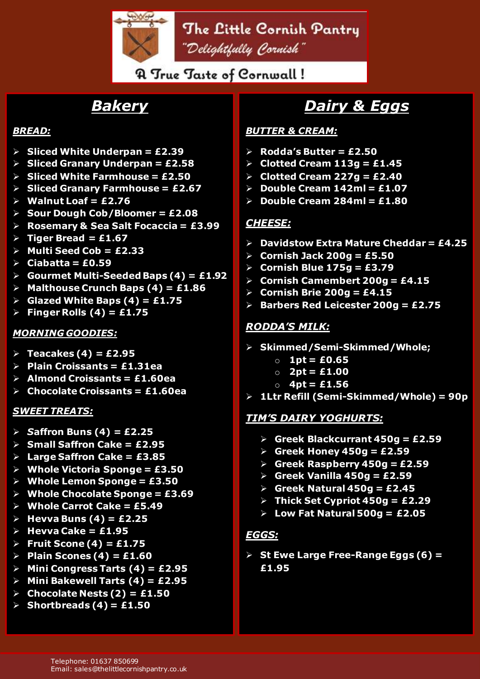

### **A True Taste of Cornwall!**

# *Bakery*

#### *BREAD:*

- ➢ **Sliced White Underpan = £2.39**
- ➢ **Sliced Granary Underpan = £2.58**
- ➢ **Sliced White Farmhouse = £2.50**
- ➢ **Sliced Granary Farmhouse = £2.67**
- ➢ **Walnut Loaf = £2.76**
- ➢ **Sour Dough Cob/Bloomer = £2.08**
- ➢ **Rosemary & Sea Salt Focaccia = £3.99**
- $\triangleright$  **Tiger Bread = £1.67**
- ➢ **Multi Seed Cob = £2.33**
- ➢ **Ciabatta = £0.59**
- ➢ **Gourmet Multi-Seeded Baps (4) = £1.92**
- ➢ **Malthouse Crunch Baps (4) = £1.86**
- ➢ **Glazed White Baps (4) = £1.75**
- ➢ **Finger Rolls (4) = £1.75**

#### *MORNING GOODIES:*

- ➢ **Teacakes (4) = £2.95**
- ➢ **Plain Croissants = £1.31ea**
- ➢ **Almond Croissants = £1.60ea**
- ➢ **Chocolate Croissants = £1.60ea**

#### *SWEET TREATS:*

- ➢ *S***affron Buns (4) = £2.25**
- ➢ **Small Saffron Cake = £2.95**
- ➢ **Large Saffron Cake = £3.85**
- ➢ **Whole Victoria Sponge = £3.50**
- ➢ **Whole Lemon Sponge = £3.50**
- ➢ **Whole Chocolate Sponge = £3.69**
- ➢ **Whole Carrot Cake = £5.49**
- ➢ **Hevva Buns (4) = £2.25**
- ➢ **Hevva Cake = £1.95**
- ➢ **Fruit Scone (4) = £1.75**
- ➢ **Plain Scones (4) = £1.60**
- ➢ **Mini Congress Tarts (4) = £2.95**
- ➢ **Mini Bakewell Tarts (4) = £2.95**
- ➢ **Chocolate Nests (2) = £1.50**
- ➢ **Shortbreads (4) = £1.50**

# *Dairy & Eggs*

#### *BUTTER & CREAM:*

- ➢ **Rodda's Butter = £2.50**
- ➢ **Clotted Cream 113g = £1.45**
- ➢ **Clotted Cream 227g = £2.40**
- ➢ **Double Cream 142ml = £1.07**
- ➢ **Double Cream 284ml = £1.80**

#### *CHEESE:*

- ➢ **Davidstow Extra Mature Cheddar = £4.25**
- ➢ **Cornish Jack 200g = £5.50**
- ➢ **Cornish Blue 175g = £3.79**
- ➢ **Cornish Camembert 200g = £4.15**
- ➢ **Cornish Brie 200g = £4.15**
- ➢ **Barbers Red Leicester 200g = £2.75**

#### *RODDA'S MILK:*

- ➢ **Skimmed/Semi-Skimmed/Whole;**
	- o **1pt = £0.65**
	- o **2pt = £1.00**
	- o **4pt = £1.56**
- ➢ **1Ltr Refill (Semi-Skimmed/Whole) = 90p**

#### *TIM'S DAIRY YOGHURTS:*

- ➢ **Greek Blackcurrant 450g = £2.59**
- ➢ **Greek Honey 450g = £2.59**
- ➢ **Greek Raspberry 450g = £2.59**
- ➢ **Greek Vanilla 450g = £2.59**
- ➢ **Greek Natural 450g = £2.45**
- ➢ **Thick Set Cypriot 450g = £2.29**
- ➢ **Low Fat Natural 500g = £2.05**

#### *EGGS:*

➢ **St Ewe Large Free-Range Eggs (6) = £1.95**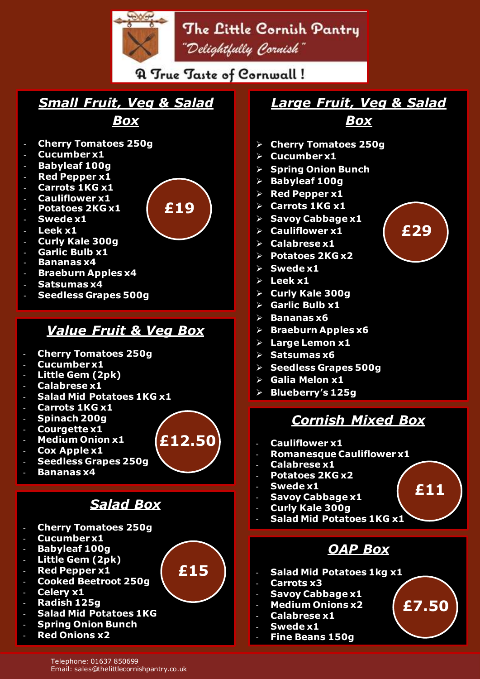# The Little Cornish Pantry "Delightfully Cornish"

**A True Taste of Cornwall!** 

**£19**

**£12.50**

**£15**

## *Small Fruit, Veg & Salad Box*

- **Cherry Tomatoes 250g**
- **Cucumber x1**
- **Babyleaf 100g**
- **Red Pepper x1**
- Carrots 1KG x1
- **Cauliflower x1**
- **Potatoes 2KG x1**
- Swede x1
- Leek x1
- **Curly Kale 300g**
- Garlic Bulb x1
- **Bananas x4**
- **Braeburn Apples x4**
- **Satsumas x4**
- **Seedless Grapes 500g**

### *Value Fruit & Veg Box*

- **Cherry Tomatoes 250g**
- **Cucumber x1**
- **Little Gem (2pk)**
- **Calabrese x1**
- **Salad Mid Potatoes 1KG x1**
- **Carrots 1KG x1**
- **Spinach 200g**
- **Courgette x1**
- **Medium Onion x1**
- **Cox Apple x1**
- **Seedless Grapes 250g**
- **Bananas x4**

## *Salad Box*

- **Cherry Tomatoes 250g**
- **Cucumber x1**
- **Babyleaf 100g**
- **Little Gem (2pk)**
- **Red Pepper x1**
- **Cooked Beetroot 250g**
- **Celery x1**
- **Radish 125g**
- **Salad Mid Potatoes 1KG**
- **Spring Onion Bunch**
- **Red Onions x2**

# *Large Fruit, Veg & Salad*

*Box*

- ➢ **Cherry Tomatoes 250g**
- ➢ **Cucumber x1**
- ➢ **Spring Onion Bunch**
- ➢ **Babyleaf 100g**
- ➢ **Red Pepper x1**
- ➢ **Carrots 1KG x1**
- ➢ **Savoy Cabbage x1**
- ➢ **Cauliflower x1**
- ➢ **Calabrese x1**
- ➢ **Potatoes 2KG x2**
- ➢ **Swede x1**
- ➢ **Leek x1**
- ➢ **Curly Kale 300g**
- ➢ **Garlic Bulb x1**
- ➢ **Bananas x6**
- ➢ **Braeburn Apples x6**
- ➢ **Large Lemon x1**
- ➢ **Satsumas x6**
- ➢ **Seedless Grapes 500g**
- ➢ **Galia Melon x1**
- ➢ **Blueberry's 125g**

## *Cornish Mixed Box*

- **Cauliflower x1**
- **Romanesque Cauliflower x1**
- **Calabrese x1**
- **Potatoes 2KG x2**
- **Swede x1**
- **Savoy Cabbage x1**
- **Curly Kale 300g**
- **Salad Mid Potatoes 1KG x1**

## *OAP Box*

- **Salad Mid Potatoes 1kg x1**
- **Carrots x3**
- **Savoy Cabbage x1**
- **Medium Onions x2**
- **Calabrese x1**
- **Swede x1**
- **Fine Beans 150g**







**£11**

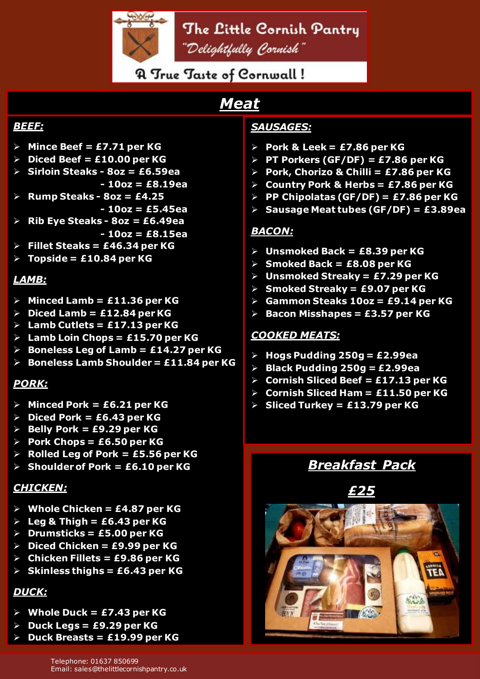

The Little Cornish Pantry "Delightfully Cornish"

**A True Taste of Cornwall!** 

# *Meat*

### *BEEF:*

- ➢ **Mince Beef = £7.71 per KG**
- ➢ **Diced Beef = £10.00 per KG**
- ➢ **Sirloin Steaks - 8oz = £6.59ea - 10oz = £8.19ea**
- ➢ **Rump Steaks - 8oz = £4.25**
- **- 10oz = £5.45ea** ➢ **Rib Eye Steaks - 8oz = £6.49ea**
- **- 10oz = £8.15ea**
- ➢ **Fillet Steaks = £46.34 per KG**
- ➢ **Topside = £10.84 per KG**

### *LAMB:*

- ➢ **Minced Lamb = £11.36 per KG**
- ➢ **Diced Lamb = £12.84 per KG**
- ➢ **Lamb Cutlets = £17.13 per KG**
- ➢ **Lamb Loin Chops = £15.70 per KG**
- ➢ **Boneless Leg of Lamb = £14.27 per KG**
- ➢ **Boneless Lamb Shoulder = £11.84 per KG**

### *PORK:*

- ➢ **Minced Pork = £6.21 per KG**
- ➢ **Diced Pork = £6.43 per KG**
- ➢ **Belly Pork = £9.29 per KG**
- ➢ **Pork Chops = £6.50 per KG**
- ➢ **Rolled Leg of Pork = £5.56 per KG**
- ➢ **Shoulder of Pork = £6.10 per KG**

### *CHICKEN:*

- ➢ **Whole Chicken = £4.87 per KG**
- ➢ **Leg & Thigh = £6.43 per KG**
- ➢ **Drumsticks = £5.00 per KG**
- ➢ **Diced Chicken = £9.99 per KG**
- ➢ **Chicken Fillets = £9.86 per KG**
- ➢ **Skinless thighs = £6.43 per KG**

### *DUCK:*

- ➢ **Whole Duck = £7.43 per KG**
- ➢ **Duck Legs = £9.29 per KG**
- ➢ **Duck Breasts = £19.99 per KG**

### *SAUSAGES:*

- ➢ **Pork & Leek = £7.86 per KG**
- ➢ **PT Porkers (GF/DF) = £7.86 per KG**
- ➢ **Pork, Chorizo & Chilli = £7.86 per KG**
- ➢ **Country Pork & Herbs = £7.86 per KG**
- ➢ **PP Chipolatas (GF/DF) = £7.86 per KG**
- ➢ **Sausage Meat tubes (GF/DF) = £3.89ea**

### *BACON:*

- ➢ **Unsmoked Back = £8.39 per KG**
- ➢ **Smoked Back = £8.08 per KG**
- ➢ **Unsmoked Streaky = £7.29 per KG**
- ➢ **Smoked Streaky = £9.07 per KG**
- ➢ **Gammon Steaks 10oz = £9.14 per KG**
- ➢ **Bacon Misshapes = £3.57 per KG**

### *COOKED MEATS:*

- ➢ **Hogs Pudding 250g = £2.99ea**
- ➢ **Black Pudding 250g = £2.99ea**
- ➢ **Cornish Sliced Beef = £17.13 per KG**
- ➢ **Cornish Sliced Ham = £11.50 per KG**
- ➢ **Sliced Turkey = £13.79 per KG**

## *Breakfast Pack*

*£25*